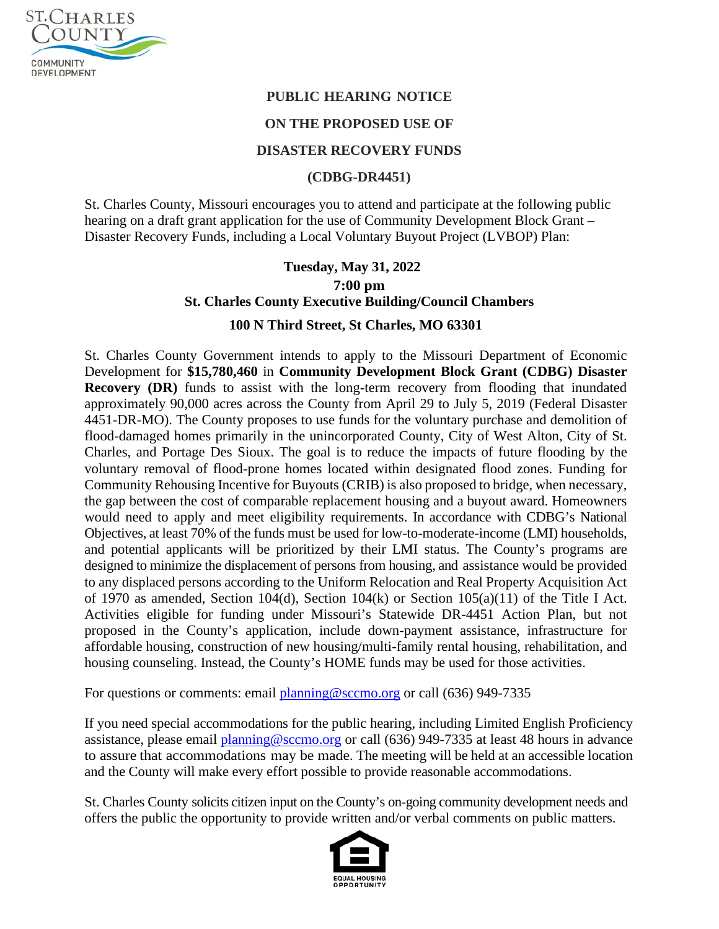

## **PUBLIC HEARING NOTICE**

### **ON THE PROPOSED USE OF**

#### **DISASTER RECOVERY FUNDS**

#### **(CDBG-DR4451)**

St. Charles County, Missouri encourages you to attend and participate at the following public hearing on a draft grant application for the use of Community Development Block Grant – Disaster Recovery Funds, including a Local Voluntary Buyout Project (LVBOP) Plan:

# **Tuesday, May 31, 2022 7:00 pm St. Charles County Executive Building/Council Chambers**

#### **100 N Third Street, St Charles, MO 63301**

St. Charles County Government intends to apply to the Missouri Department of Economic Development for **\$15,780,460** in **Community Development Block Grant (CDBG) Disaster Recovery (DR)** funds to assist with the long-term recovery from flooding that inundated approximately 90,000 acres across the County from April 29 to July 5, 2019 (Federal Disaster 4451-DR-MO). The County proposes to use funds for the voluntary purchase and demolition of flood-damaged homes primarily in the unincorporated County, City of West Alton, City of St. Charles, and Portage Des Sioux. The goal is to reduce the impacts of future flooding by the voluntary removal of flood-prone homes located within designated flood zones. Funding for Community Rehousing Incentive for Buyouts (CRIB) is also proposed to bridge, when necessary, the gap between the cost of comparable replacement housing and a buyout award. Homeowners would need to apply and meet eligibility requirements. In accordance with CDBG's National Objectives, at least 70% of the funds must be used for low-to-moderate-income (LMI) households, and potential applicants will be prioritized by their LMI status. The County's programs are designed to minimize the displacement of persons from housing, and assistance would be provided to any displaced persons according to the Uniform Relocation and Real Property Acquisition Act of 1970 as amended, Section 104(d), Section 104(k) or Section 105(a)(11) of the Title I Act. Activities eligible for funding under Missouri's Statewide DR-4451 Action Plan, but not proposed in the County's application, include down-payment assistance, infrastructure for affordable housing, construction of new housing/multi-family rental housing, rehabilitation, and housing counseling. Instead, the County's HOME funds may be used for those activities.

For questions or comments: email [planning@sccmo.org](mailto:planning@sccmo.org) or call (636) 949-7335

If you need special accommodations for the public hearing, including Limited English Proficiency assistance, please email [planning@sccmo.org](mailto:planning@sccmo.org) or call (636) 949-7335 at least 48 hours in advance to assure that accommodations may be made. The meeting will be held at an accessible location and the County will make every effort possible to provide reasonable accommodations.

St. Charles County solicits citizen input on the County's on-going community development needs and offers the public the opportunity to provide written and/or verbal comments on public matters.